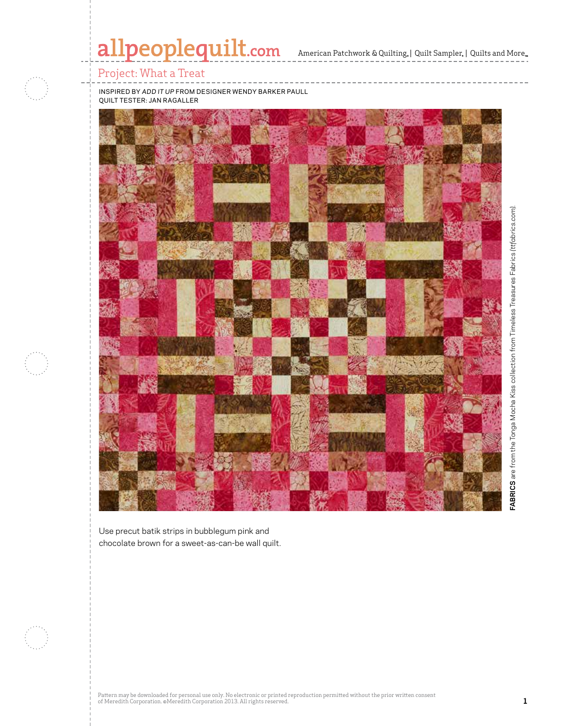# allpeoplequilt.com American Patchwork & Quilting, | Quilt Sampler, | Quilts and More..

## Project: What a Treat

inspired by *Add it up* from designer wendy barker paull quilt tester: jan ragaller



Use precut batik strips in bubblegum pink and chocolate brown for a sweet-as-can-be wall quilt.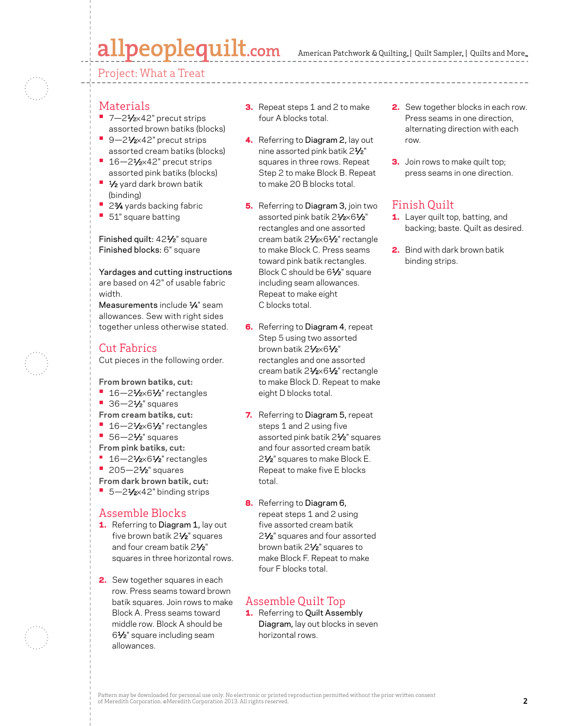# allpeoplequilt.com

American Patchwork & Quilting, | Quilt Sampler, | Quilts and More...

Project: What a Treat

- Materials
- 7-21⁄2×42" precut strips assorted brown batiks (blocks)
- **•** 9—21⁄2×42" precut strips assorted cream batiks (blocks) ■ 16–21⁄<sub>2×42</sub>" precut strips
- assorted pink batiks (blocks)
- **•** 1⁄2 yard dark brown batik (binding)
- **•** 23⁄4 yards backing fabric
- **•** 51" square batting

Finished quilt: 421⁄2" square Finished blocks: 6" square

Yardages and cutting instructions are based on 42" of usable fabric width.

Measurements include  $\frac{1}{4}$ " seam allowances. Sew with right sides together unless otherwise stated.

### Cut Fabrics

Cut pieces in the following order.

**From brown batiks, cut:**

- **•** 16-21/<sub>2</sub>×61/<sub>2</sub>" rectangles
- 36-2<sup>1</sup>⁄<sub>2</sub>" squares
- **From cream batiks, cut:**
- **•** 16—21⁄2×61⁄2" rectangles
- **•** 56—21⁄2" squares
- **From pink batiks, cut:**
- $16 21/2 \times 61/2$ " rectangles
- **•** 205—21⁄2" squares
- **From dark brown batik, cut:**
- 5-21⁄<sub>2×42</sub>" binding strips

### Assemble Blocks

- 1. Referring to Diagram 1, lay out five brown batik 2<sup>1/2</sup> squares and four cream batik 21/<sub>2</sub>" squares in three horizontal rows.
- 2. Sew together squares in each row. Press seams toward brown batik squares. Join rows to make Block A. Press seams toward middle row. Block A should be 61⁄2" square including seam allowances.
- **3.** Repeat steps 1 and 2 to make four A blocks total.
- 4. Referring to Diagram 2, lay out nine assorted pink batik 21⁄2" squares in three rows. Repeat Step 2 to make Block B. Repeat to make 20 B blocks total.
- **5.** Referring to Diagram 3, join two assorted pink batik 21/2×61/2" rectangles and one assorted cream batik 21/2×61/2" rectangle to make Block C. Press seams toward pink batik rectangles. Block C should be 61⁄2" square including seam allowances. Repeat to make eight C blocks total.
- **6.** Referring to Diagram 4, repeat Step 5 using two assorted brown batik 21/2×61/2" rectangles and one assorted cream batik 21/2×61/2" rectangle to make Block D. Repeat to make eight D blocks total.
- 7. Referring to Diagram 5, repeat steps 1 and 2 using five assorted pink batik 21⁄2" squares and four assorted cream batik 2<sup>1</sup>/<sub>2</sub>" squares to make Block E. Repeat to make five E blocks total.
- 8. Referring to Diagram 6, repeat steps 1 and 2 using five assorted cream batik 2<sup>1</sup>/<sub>2</sub>" squares and four assorted brown batik 21⁄2" squares to make Block F. Repeat to make four F blocks total.

## Assemble Quilt Top

1. Referring to Quilt Assembly Diagram, lay out blocks in seven horizontal rows.

- 2. Sew together blocks in each row. Press seams in one direction, alternating direction with each row.
- **3.** Join rows to make quilt top; press seams in one direction.

# Finish Quilt

- 1. Layer quilt top, batting, and backing; baste. Quilt as desired.
- 2. Bind with dark brown batik binding strips.